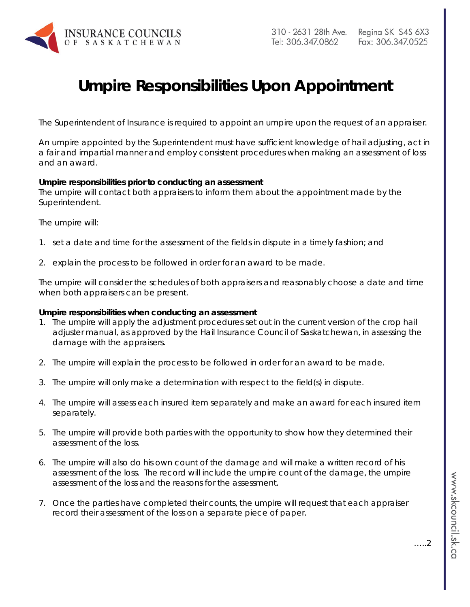

## **Umpire Responsibilities Upon Appointment**

The Superintendent of Insurance is required to appoint an umpire upon the request of an appraiser.

An umpire appointed by the Superintendent must have sufficient knowledge of hail adjusting, act in a fair and impartial manner and employ consistent procedures when making an assessment of loss and an award.

## **Umpire responsibilities prior to conducting an assessment**

The umpire will contact both appraisers to inform them about the appointment made by the Superintendent.

The umpire will:

- 1. set a date and time for the assessment of the fields in dispute in a timely fashion; and
- 2. explain the process to be followed in order for an award to be made.

The umpire will consider the schedules of both appraisers and reasonably choose a date and time when both appraisers can be present.

## **Umpire responsibilities when conducting an assessment**

- 1. The umpire will apply the adjustment procedures set out in the current version of the crop hail adjuster manual, as approved by the Hail Insurance Council of Saskatchewan, in assessing the damage with the appraisers.
- 2. The umpire will explain the process to be followed in order for an award to be made.
- 3. The umpire will only make a determination with respect to the field(s) in dispute.
- 4. The umpire will assess each insured item separately and make an award for each insured item separately.
- 5. The umpire will provide both parties with the opportunity to show how they determined their assessment of the loss.
- 6. The umpire will also do his own count of the damage and will make a written record of his assessment of the loss. The record will include the umpire count of the damage, the umpire assessment of the loss and the reasons for the assessment.
- 7. Once the parties have completed their counts, the umpire will request that each appraiser record their assessment of the loss on a separate piece of paper.